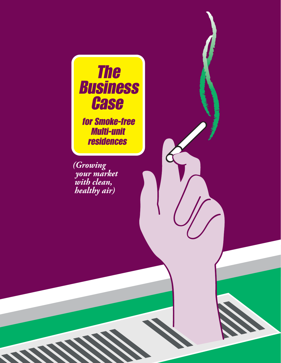

 Multi-unit residences

*(Growing your market with clean, healthy air)*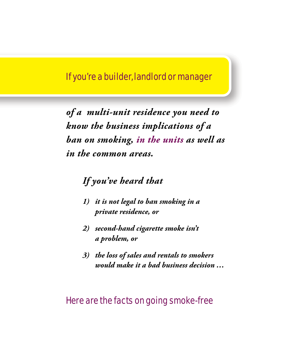### If you're a builder, landlord or manager

*of a multi-unit residence you need to know the business implications of a ban on smoking, in the units as well as in the common areas.*

### *If you've heard that*

- *1) it is not legal to ban smoking in a private residence, or*
- *2) second-hand cigarette smoke isn't a problem, or*
- *3) the loss of sales and rentals to smokers would make it a bad business decision …*

### Here are the facts on going smoke-free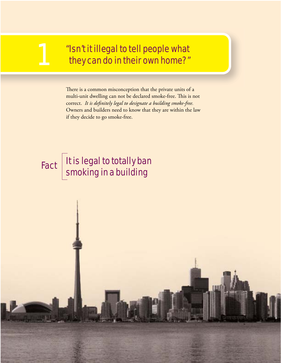### "Isn't it illegal to tell people what they can do in their own home?"

There is a common misconception that the private units of a multi-unit dwelling can not be declared smoke-free. This is not correct. It is definitely legal to designate a building smoke-free. Owners and builders need to know that they are within the law if they decide to go smoke-free.

### It is legal to totally ban Fact Ris regar to totally bar<br>Smoking in a building

1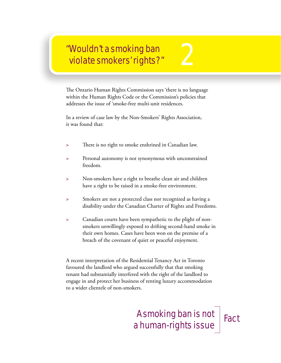### "Wouldn't a smoking ban wouldn't a smoking ban<br>violate smokers' rights?"

The Ontario Human Rights Commission says 'there is no language within the Human Rights Code or the Commission's policies that addresses the issue of 'smoke-free multi-unit residences.

In a review of case law by the Non-Smokers' Rights Association, it was found that:

- **>** Th ere is no right to smoke enshrined in Canadian law.
- **>** Personal autonomy is not synonymous with unconstrained freedom.
- **>** Non-smokers have a right to breathe clean air and children have a right to be raised in a smoke-free environment.
- **>** Smokers are not a protected class nor recognized as having a disability under the Canadian Charter of Rights and Freedoms.
- **>** Canadian courts have been sympathetic to the plight of non smokers unwillingly exposed to drifting second-hand smoke in their own homes. Cases have been won on the premise of a breach of the covenant of quiet or peaceful enjoyment.

A recent interpretation of the Residential Tenancy Act in Toronto favoured the landlord who argued successfully that that smoking tenant had substantially interfered with the right of the landlord to engage in and protect her business of renting luxury accommodation to a wider clientele of non-smokers.

### A smoking ban is not A SUIDKING DAILIS NOT Fact<br>a human-rights issue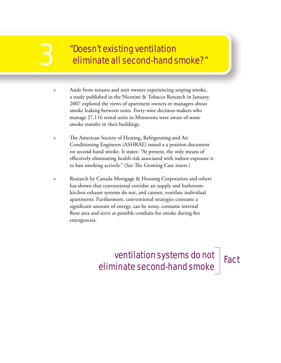# "Doesn't existing ventilation 3 eliminate all second-hand smoke?"

- **>** Aside from tenants and unit owners experiencing seeping smoke, a study published in the Nicotine & Tobacco Research in January, 2007 explored the views of apartment owners or managers about smoke leaking between units. Forty-nine decision-makers who manage 27,116 rental units in Minnesota were aware of some smoke transfer in their buildings.
- **>** Th e American Society of Heating, Refrigerating and Air Conditioning Engineers (ASHRAE) issued a a position document on second-hand smoke. It states: "At present, the only means of effectively eliminating health risk associated with indoor exposure is to ban smoking actively." (See The Growing Case insert.)
- **>** Research by Canada Mortgage & Housing Corporation and others has shown that conventional corridor air supply and bathroom kitchen exhaust systems do not, and cannot, ventilate individual apartments. Furthermore, conventional strategies consume a significant amount of energy, can be noisy, consume internal floor area and serve as possible conduits for smoke during fire emergencies.

### ventilation systems do not eliminate second-hand smoke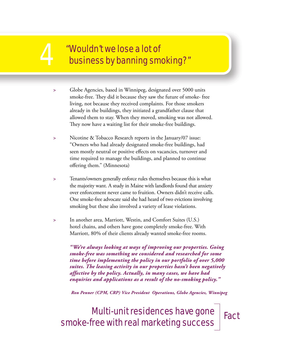# **4 The Mouldn't we lose a lot of<br>A The Mousiness by banning smear that the Mousiness by banning smear that the Mousiness by banning smear** business by banning smoking?"

- **>** Globe Agencies, based in Winnipeg, designated over 5000 units smoke-free. They did it because they saw the future of smoke-free living, not because they received complaints. For those smokers already in the buildings, they initiated a grandfather clause that allowed them to stay. When they moved, smoking was not allowed. They now have a waiting list for their smoke-free buildings.
- **>** Nicotine & Tobacco Research reports in the January/07 issue: "Owners who had already designated smoke-free buildings, had seen mostly neutral or positive effects on vacancies, turnover and time required to manage the buildings, and planned to continue offering them." (Minnesota)
- **>** Tenants/owners generally enforce rules themselves because this is what the majority want. A study in Maine with landlords found that anxiety over enforcement never came to fruition. Owners didn't receive calls. One smoke-free advocate said she had heard of two evictions involving smoking but these also involved a variety of lease violations.
- **>** In another area, Marriott, Westin, and Comfort Suites (U.S.) hotel chains, and others have gone completely smoke-free. With Marriott, 80% of their clients already wanted smoke-free rooms.

*"We're always looking at ways of improving our properties. Going smoke-free was something we considered and researched for some time before implementing the policy in our portfolio of over 5,000 suites. The leasing activity in our properties hasn't been negatively affective by the policy. Actually, in many cases, we have had enquiries and applications as a result of the no-smoking policy."* 

*Ron Penner (CPM, CRP) Vice President Operations, Globe Agencies, Winnipeg*

Multi-unit residences have gone smoke-free with real marketing success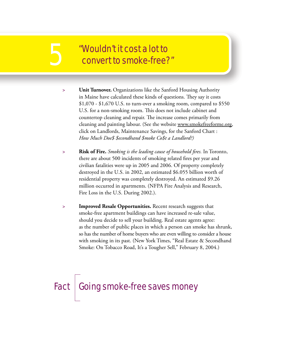# "Wouldn't it cost a lot to 5 convert to smoke-free?"

- **> Unit Turnover.** Organizations like the Sanford Housing Authority in Maine have calculated these kinds of questions. They say it costs \$1,070 - \$1,670 U.S. to turn-over a smoking room, compared to \$550 U.S. for a non-smoking room. This does not include cabinet and countertop cleaning and repair. The increase comes primarily from cleaning and painting labour. (See the website www.smokefreeforme.org, click on Landlords, Maintenance Savings, for the Sanford Chart : *How Much Doe\$ \$econdhand \$moke Co\$t a Landlord?)*
- **> Risk of Fire.** *Smoking is the leading cause of household fi res.* In Toronto, there are about 500 incidents of smoking related fires per year and civilian fatalities were up in 2005 and 2006. Of property completely destroyed in the U.S. in 2002, an estimated \$6.055 billion worth of residential property was completely destroyed. An estimated \$9.26 million occurred in apartments. (NFPA Fire Analysis and Research, Fire Loss in the U.S. During 2002.).
- **> Improved Resale Opportunities.** Recent research suggests that smoke-free apartment buildings can have increased re-sale value, should you decide to sell your building. Real estate agents agree: as the number of public places in which a person can smoke has shrunk, so has the number of home buyers who are even willing to consider a house with smoking in its past. (New York Times, "Real Estate & Secondhand Smoke: On Tobacco Road, It's a Tougher Sell," February 8, 2004.)

### Fact Going smoke-free saves money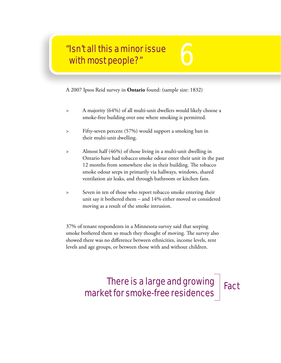# "Isn't all this a minor issue "Isn't all this a minor issue<br>with most people?"

A 2007 Ipsos Reid survey in **Ontario** found: (sample size: 1832)

- **>** A majority (64%) of all multi-unit dwellers would likely choose a smoke-free building over one where smoking is permitted.
- **>** Fifty-seven percent (57%) would support a smoking ban in their multi-unit dwelling.
- **>** Almost half (46%) of those living in a multi-unit dwelling in Ontario have had tobacco smoke odour enter their unit in the past 12 months from somewhere else in their building. The tobacco smoke odour seeps in primarily via hallways, windows, shared ventilation air leaks, and through bathroom or kitchen fans.
- **>** Seven in ten of those who report tobacco smoke entering their unit say it bothered them – and 14% either moved or considered moving as a result of the smoke intrusion.

37% of tenant respondents in a Minnesota survey said that seeping smoke bothered them so much they thought of moving. The survey also showed there was no difference between ethnicities, income levels, rent levels and age groups, or between those with and without children.

### There is a large and growing market for smoke-free residences